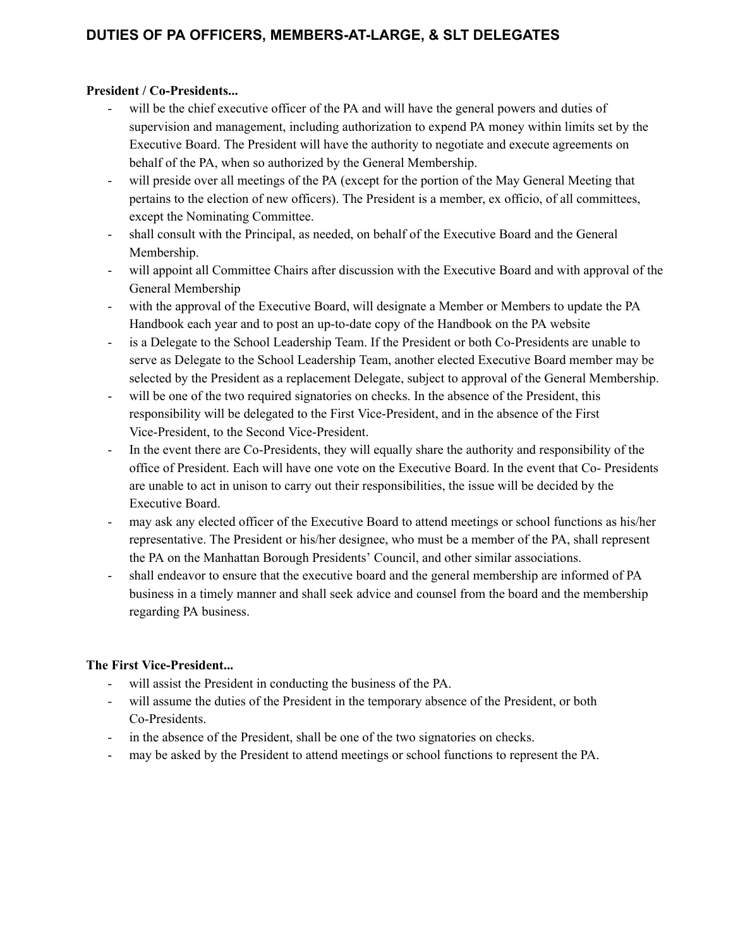# **DUTIES OF PA OFFICERS, MEMBERS-AT-LARGE, & SLT DELEGATES**

### **President / Co-Presidents...**

- will be the chief executive officer of the PA and will have the general powers and duties of supervision and management, including authorization to expend PA money within limits set by the Executive Board. The President will have the authority to negotiate and execute agreements on behalf of the PA, when so authorized by the General Membership.
- will preside over all meetings of the PA (except for the portion of the May General Meeting that pertains to the election of new officers). The President is a member, ex officio, of all committees, except the Nominating Committee.
- shall consult with the Principal, as needed, on behalf of the Executive Board and the General Membership.
- will appoint all Committee Chairs after discussion with the Executive Board and with approval of the General Membership
- with the approval of the Executive Board, will designate a Member or Members to update the PA Handbook each year and to post an up-to-date copy of the Handbook on the PA website
- is a Delegate to the School Leadership Team. If the President or both Co-Presidents are unable to serve as Delegate to the School Leadership Team, another elected Executive Board member may be selected by the President as a replacement Delegate, subject to approval of the General Membership.
- will be one of the two required signatories on checks. In the absence of the President, this responsibility will be delegated to the First Vice-President, and in the absence of the First Vice-President, to the Second Vice-President.
- In the event there are Co-Presidents, they will equally share the authority and responsibility of the office of President. Each will have one vote on the Executive Board. In the event that Co- Presidents are unable to act in unison to carry out their responsibilities, the issue will be decided by the Executive Board.
- may ask any elected officer of the Executive Board to attend meetings or school functions as his/her representative. The President or his/her designee, who must be a member of the PA, shall represent the PA on the Manhattan Borough Presidents' Council, and other similar associations.
- shall endeavor to ensure that the executive board and the general membership are informed of PA business in a timely manner and shall seek advice and counsel from the board and the membership regarding PA business.

### **The First Vice-President...**

- will assist the President in conducting the business of the PA.
- will assume the duties of the President in the temporary absence of the President, or both Co-Presidents.
- in the absence of the President, shall be one of the two signatories on checks.
- may be asked by the President to attend meetings or school functions to represent the PA.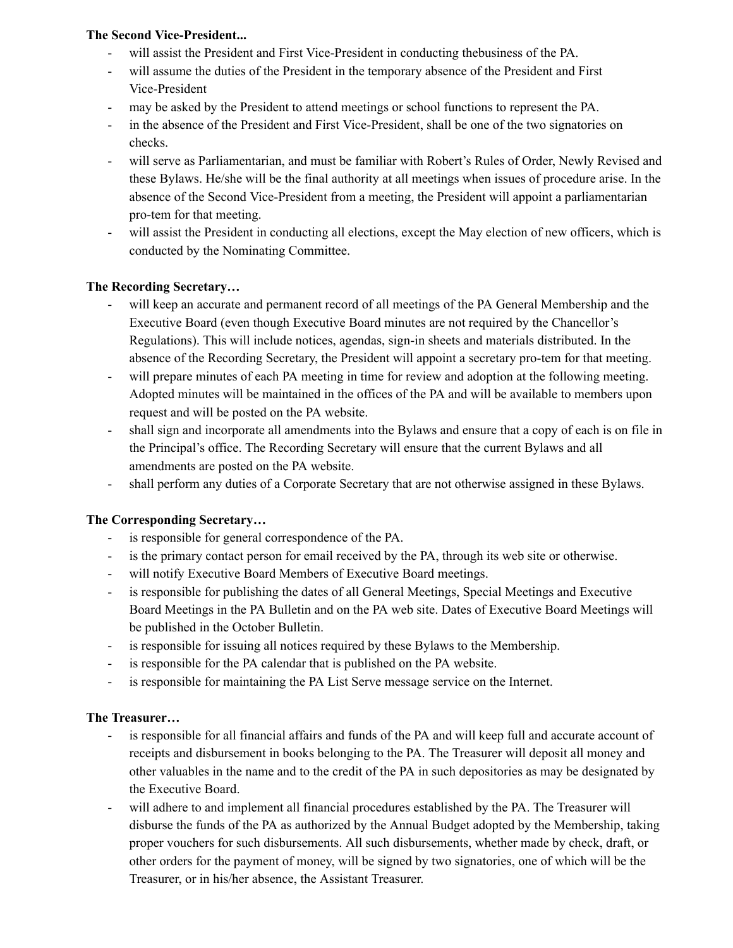### **The Second Vice-President...**

- will assist the President and First Vice-President in conducting thebusiness of the PA.
- will assume the duties of the President in the temporary absence of the President and First Vice-President
- may be asked by the President to attend meetings or school functions to represent the PA.
- in the absence of the President and First Vice-President, shall be one of the two signatories on checks.
- will serve as Parliamentarian, and must be familiar with Robert's Rules of Order, Newly Revised and these Bylaws. He/she will be the final authority at all meetings when issues of procedure arise. In the absence of the Second Vice-President from a meeting, the President will appoint a parliamentarian pro-tem for that meeting.
- will assist the President in conducting all elections, except the May election of new officers, which is conducted by the Nominating Committee.

### **The Recording Secretary…**

- will keep an accurate and permanent record of all meetings of the PA General Membership and the Executive Board (even though Executive Board minutes are not required by the Chancellor's Regulations). This will include notices, agendas, sign-in sheets and materials distributed. In the absence of the Recording Secretary, the President will appoint a secretary pro-tem for that meeting.
- will prepare minutes of each PA meeting in time for review and adoption at the following meeting. Adopted minutes will be maintained in the offices of the PA and will be available to members upon request and will be posted on the PA website.
- shall sign and incorporate all amendments into the Bylaws and ensure that a copy of each is on file in the Principal's office. The Recording Secretary will ensure that the current Bylaws and all amendments are posted on the PA website.
- shall perform any duties of a Corporate Secretary that are not otherwise assigned in these Bylaws.

## **The Corresponding Secretary…**

- is responsible for general correspondence of the PA.
- is the primary contact person for email received by the PA, through its web site or otherwise.
- will notify Executive Board Members of Executive Board meetings.
- is responsible for publishing the dates of all General Meetings, Special Meetings and Executive Board Meetings in the PA Bulletin and on the PA web site. Dates of Executive Board Meetings will be published in the October Bulletin.
- is responsible for issuing all notices required by these Bylaws to the Membership.
- is responsible for the PA calendar that is published on the PA website.
- is responsible for maintaining the PA List Serve message service on the Internet.

### **The Treasurer…**

- is responsible for all financial affairs and funds of the PA and will keep full and accurate account of receipts and disbursement in books belonging to the PA. The Treasurer will deposit all money and other valuables in the name and to the credit of the PA in such depositories as may be designated by the Executive Board.
- will adhere to and implement all financial procedures established by the PA. The Treasurer will disburse the funds of the PA as authorized by the Annual Budget adopted by the Membership, taking proper vouchers for such disbursements. All such disbursements, whether made by check, draft, or other orders for the payment of money, will be signed by two signatories, one of which will be the Treasurer, or in his/her absence, the Assistant Treasurer.